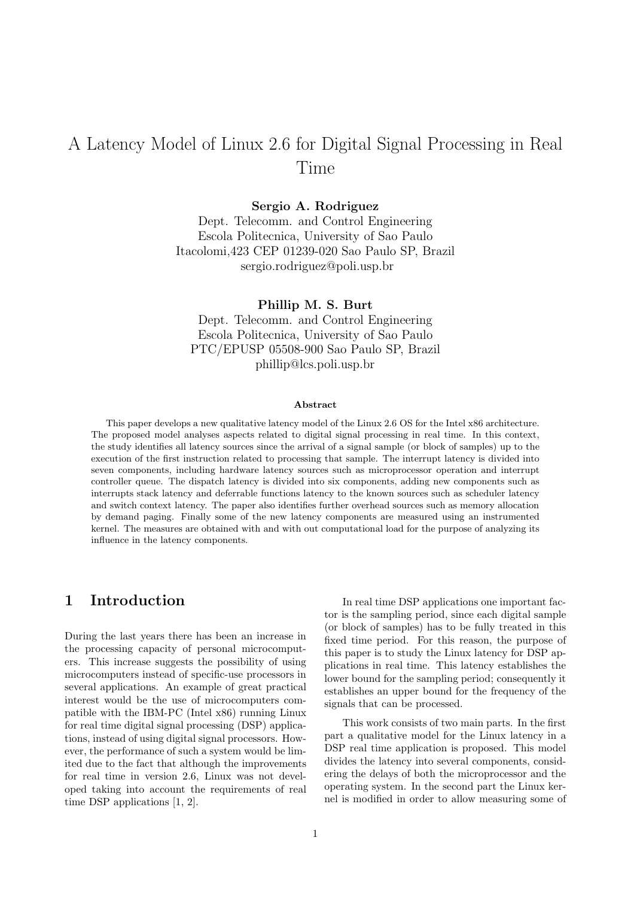# A Latency Model of Linux 2.6 for Digital Signal Processing in Real Time

Sergio A. Rodriguez

Dept. Telecomm. and Control Engineering Escola Politecnica, University of Sao Paulo Itacolomi,423 CEP 01239-020 Sao Paulo SP, Brazil sergio.rodriguez@poli.usp.br

Phillip M. S. Burt

Dept. Telecomm. and Control Engineering Escola Politecnica, University of Sao Paulo PTC/EPUSP 05508-900 Sao Paulo SP, Brazil phillip@lcs.poli.usp.br

#### Abstract

This paper develops a new qualitative latency model of the Linux 2.6 OS for the Intel x86 architecture. The proposed model analyses aspects related to digital signal processing in real time. In this context, the study identifies all latency sources since the arrival of a signal sample (or block of samples) up to the execution of the first instruction related to processing that sample. The interrupt latency is divided into seven components, including hardware latency sources such as microprocessor operation and interrupt controller queue. The dispatch latency is divided into six components, adding new components such as interrupts stack latency and deferrable functions latency to the known sources such as scheduler latency and switch context latency. The paper also identifies further overhead sources such as memory allocation by demand paging. Finally some of the new latency components are measured using an instrumented kernel. The measures are obtained with and with out computational load for the purpose of analyzing its influence in the latency components.

# 1 Introduction

During the last years there has been an increase in the processing capacity of personal microcomputers. This increase suggests the possibility of using microcomputers instead of specific-use processors in several applications. An example of great practical interest would be the use of microcomputers compatible with the IBM-PC (Intel x86) running Linux for real time digital signal processing (DSP) applications, instead of using digital signal processors. However, the performance of such a system would be limited due to the fact that although the improvements for real time in version 2.6, Linux was not developed taking into account the requirements of real time DSP applications [1, 2].

In real time DSP applications one important factor is the sampling period, since each digital sample (or block of samples) has to be fully treated in this fixed time period. For this reason, the purpose of this paper is to study the Linux latency for DSP applications in real time. This latency establishes the lower bound for the sampling period; consequently it establishes an upper bound for the frequency of the signals that can be processed.

This work consists of two main parts. In the first part a qualitative model for the Linux latency in a DSP real time application is proposed. This model divides the latency into several components, considering the delays of both the microprocessor and the operating system. In the second part the Linux kernel is modified in order to allow measuring some of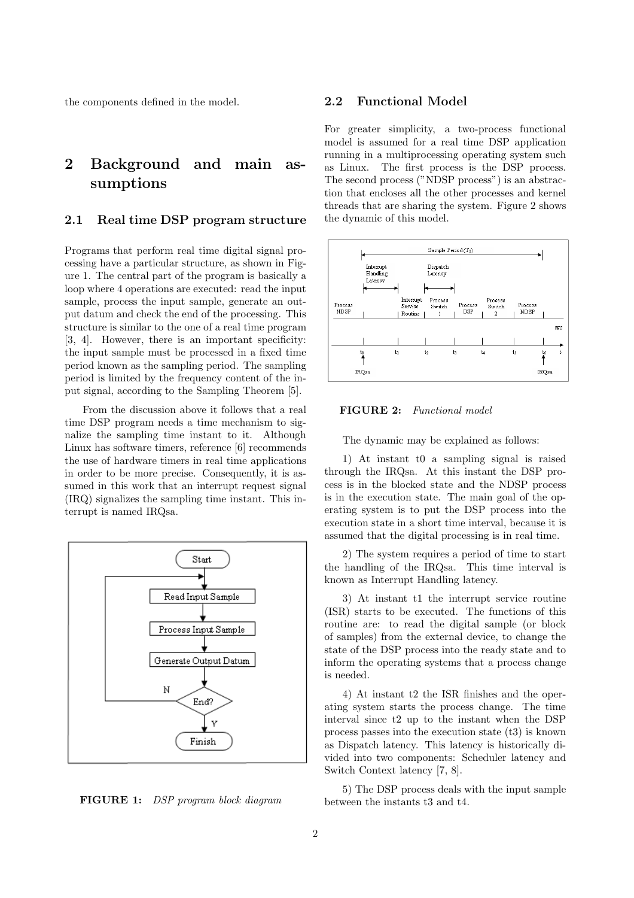the components defined in the model.

# 2 Background and main assumptions

# 2.1 Real time DSP program structure

Programs that perform real time digital signal processing have a particular structure, as shown in Figure 1. The central part of the program is basically a loop where 4 operations are executed: read the input sample, process the input sample, generate an output datum and check the end of the processing. This structure is similar to the one of a real time program [3, 4]. However, there is an important specificity: the input sample must be processed in a fixed time period known as the sampling period. The sampling period is limited by the frequency content of the input signal, according to the Sampling Theorem [5].

From the discussion above it follows that a real time DSP program needs a time mechanism to signalize the sampling time instant to it. Although Linux has software timers, reference [6] recommends the use of hardware timers in real time applications in order to be more precise. Consequently, it is assumed in this work that an interrupt request signal (IRQ) signalizes the sampling time instant. This interrupt is named IRQsa.



FIGURE 1: DSP program block diagram

## 2.2 Functional Model

For greater simplicity, a two-process functional model is assumed for a real time DSP application running in a multiprocessing operating system such as Linux. The first process is the DSP process. The second process ("NDSP process") is an abstraction that encloses all the other processes and kernel threads that are sharing the system. Figure 2 shows the dynamic of this model.



#### FIGURE 2: Functional model

The dynamic may be explained as follows:

1) At instant t0 a sampling signal is raised through the IRQsa. At this instant the DSP process is in the blocked state and the NDSP process is in the execution state. The main goal of the operating system is to put the DSP process into the execution state in a short time interval, because it is assumed that the digital processing is in real time.

2) The system requires a period of time to start the handling of the IRQsa. This time interval is known as Interrupt Handling latency.

3) At instant t1 the interrupt service routine (ISR) starts to be executed. The functions of this routine are: to read the digital sample (or block of samples) from the external device, to change the state of the DSP process into the ready state and to inform the operating systems that a process change is needed.

4) At instant t2 the ISR finishes and the operating system starts the process change. The time interval since t2 up to the instant when the DSP process passes into the execution state (t3) is known as Dispatch latency. This latency is historically divided into two components: Scheduler latency and Switch Context latency [7, 8].

5) The DSP process deals with the input sample between the instants t3 and t4.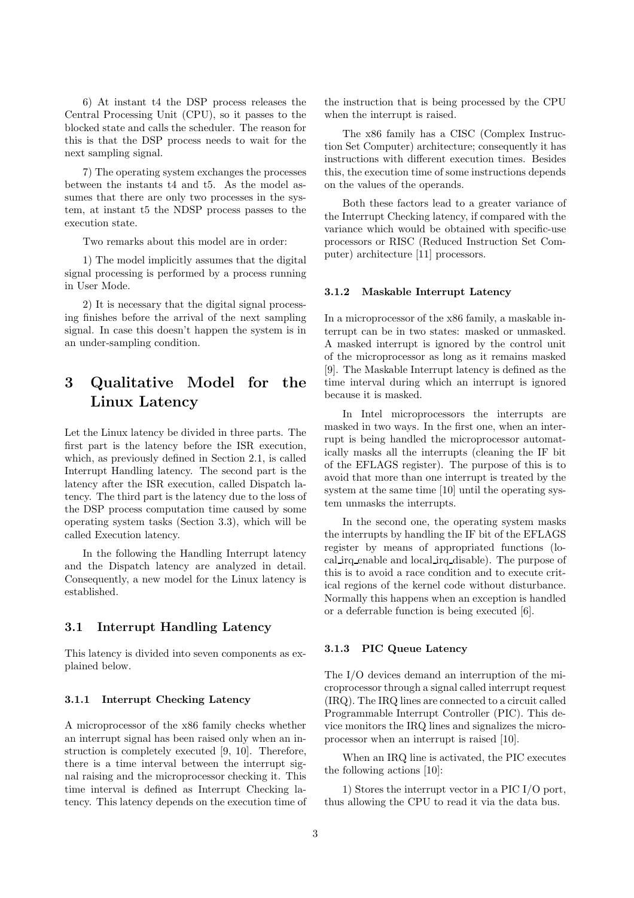6) At instant t4 the DSP process releases the Central Processing Unit (CPU), so it passes to the blocked state and calls the scheduler. The reason for this is that the DSP process needs to wait for the next sampling signal.

7) The operating system exchanges the processes between the instants t4 and t5. As the model assumes that there are only two processes in the system, at instant t5 the NDSP process passes to the execution state.

Two remarks about this model are in order:

1) The model implicitly assumes that the digital signal processing is performed by a process running in User Mode.

2) It is necessary that the digital signal processing finishes before the arrival of the next sampling signal. In case this doesn't happen the system is in an under-sampling condition.

# 3 Qualitative Model for the Linux Latency

Let the Linux latency be divided in three parts. The first part is the latency before the ISR execution, which, as previously defined in Section 2.1, is called Interrupt Handling latency. The second part is the latency after the ISR execution, called Dispatch latency. The third part is the latency due to the loss of the DSP process computation time caused by some operating system tasks (Section 3.3), which will be called Execution latency.

In the following the Handling Interrupt latency and the Dispatch latency are analyzed in detail. Consequently, a new model for the Linux latency is established.

## 3.1 Interrupt Handling Latency

This latency is divided into seven components as explained below.

#### 3.1.1 Interrupt Checking Latency

A microprocessor of the x86 family checks whether an interrupt signal has been raised only when an instruction is completely executed [9, 10]. Therefore, there is a time interval between the interrupt signal raising and the microprocessor checking it. This time interval is defined as Interrupt Checking latency. This latency depends on the execution time of the instruction that is being processed by the CPU when the interrupt is raised.

The x86 family has a CISC (Complex Instruction Set Computer) architecture; consequently it has instructions with different execution times. Besides this, the execution time of some instructions depends on the values of the operands.

Both these factors lead to a greater variance of the Interrupt Checking latency, if compared with the variance which would be obtained with specific-use processors or RISC (Reduced Instruction Set Computer) architecture [11] processors.

#### 3.1.2 Maskable Interrupt Latency

In a microprocessor of the x86 family, a maskable interrupt can be in two states: masked or unmasked. A masked interrupt is ignored by the control unit of the microprocessor as long as it remains masked [9]. The Maskable Interrupt latency is defined as the time interval during which an interrupt is ignored because it is masked.

In Intel microprocessors the interrupts are masked in two ways. In the first one, when an interrupt is being handled the microprocessor automatically masks all the interrupts (cleaning the IF bit of the EFLAGS register). The purpose of this is to avoid that more than one interrupt is treated by the system at the same time [10] until the operating system unmasks the interrupts.

In the second one, the operating system masks the interrupts by handling the IF bit of the EFLAGS register by means of appropriated functions (local irq enable and local irq disable). The purpose of this is to avoid a race condition and to execute critical regions of the kernel code without disturbance. Normally this happens when an exception is handled or a deferrable function is being executed [6].

#### 3.1.3 PIC Queue Latency

The I/O devices demand an interruption of the microprocessor through a signal called interrupt request (IRQ). The IRQ lines are connected to a circuit called Programmable Interrupt Controller (PIC). This device monitors the IRQ lines and signalizes the microprocessor when an interrupt is raised [10].

When an IRQ line is activated, the PIC executes the following actions [10]:

1) Stores the interrupt vector in a PIC I/O port, thus allowing the CPU to read it via the data bus.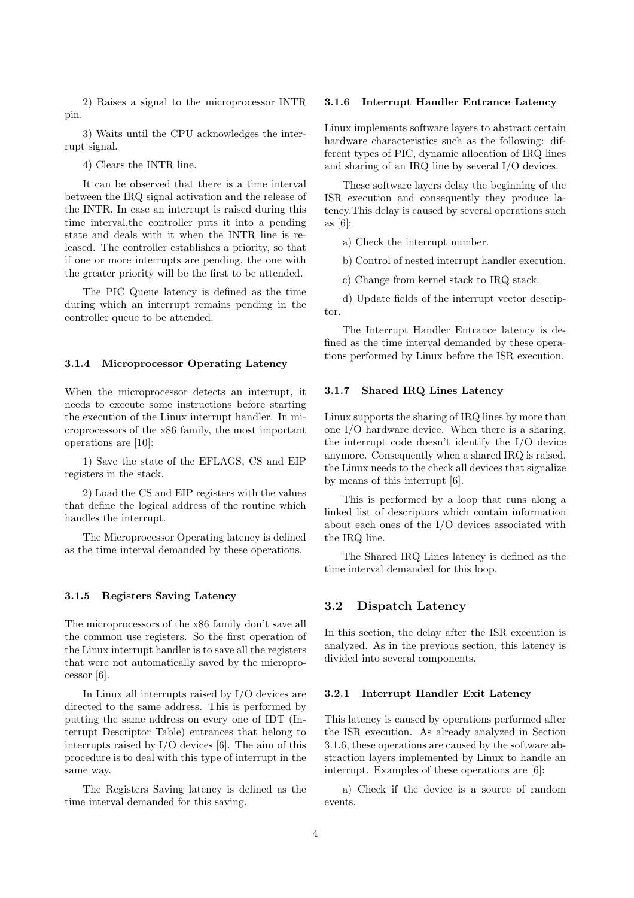2) Raises a signal to the microprocessor INTR pin.

3) Waits until the CPU acknowledges the interrupt signal.

4) Clears the INTR line.

It can be observed that there is a time interval between the IRQ signal activation and the release of the INTR. In case an interrupt is raised during this time interval,the controller puts it into a pending state and deals with it when the INTR line is released. The controller establishes a priority, so that if one or more interrupts are pending, the one with the greater priority will be the first to be attended.

The PIC Queue latency is defined as the time during which an interrupt remains pending in the controller queue to be attended.

#### 3.1.4 Microprocessor Operating Latency

When the microprocessor detects an interrupt, it needs to execute some instructions before starting the execution of the Linux interrupt handler. In microprocessors of the x86 family, the most important operations are [10]:

1) Save the state of the EFLAGS, CS and EIP registers in the stack.

2) Load the CS and EIP registers with the values that define the logical address of the routine which handles the interrupt.

The Microprocessor Operating latency is defined as the time interval demanded by these operations.

### 3.1.5 Registers Saving Latency

The microprocessors of the x86 family don't save all the common use registers. So the first operation of the Linux interrupt handler is to save all the registers that were not automatically saved by the microprocessor [6].

In Linux all interrupts raised by I/O devices are directed to the same address. This is performed by putting the same address on every one of IDT (Interrupt Descriptor Table) entrances that belong to interrupts raised by I/O devices [6]. The aim of this procedure is to deal with this type of interrupt in the same way.

The Registers Saving latency is defined as the time interval demanded for this saving.

#### 3.1.6 Interrupt Handler Entrance Latency

Linux implements software layers to abstract certain hardware characteristics such as the following: different types of PIC, dynamic allocation of IRQ lines and sharing of an IRQ line by several I/O devices.

These software layers delay the beginning of the ISR execution and consequently they produce latency.This delay is caused by several operations such as [6]:

a) Check the interrupt number.

b) Control of nested interrupt handler execution.

c) Change from kernel stack to IRQ stack.

d) Update fields of the interrupt vector descriptor.

The Interrupt Handler Entrance latency is defined as the time interval demanded by these operations performed by Linux before the ISR execution.

#### 3.1.7 Shared IRQ Lines Latency

Linux supports the sharing of IRQ lines by more than one I/O hardware device. When there is a sharing, the interrupt code doesn't identify the I/O device anymore. Consequently when a shared IRQ is raised, the Linux needs to the check all devices that signalize by means of this interrupt [6].

This is performed by a loop that runs along a linked list of descriptors which contain information about each ones of the I/O devices associated with the IRQ line.

The Shared IRQ Lines latency is defined as the time interval demanded for this loop.

## 3.2 Dispatch Latency

In this section, the delay after the ISR execution is analyzed. As in the previous section, this latency is divided into several components.

#### 3.2.1 Interrupt Handler Exit Latency

This latency is caused by operations performed after the ISR execution. As already analyzed in Section 3.1.6, these operations are caused by the software abstraction layers implemented by Linux to handle an interrupt. Examples of these operations are [6]:

a) Check if the device is a source of random events.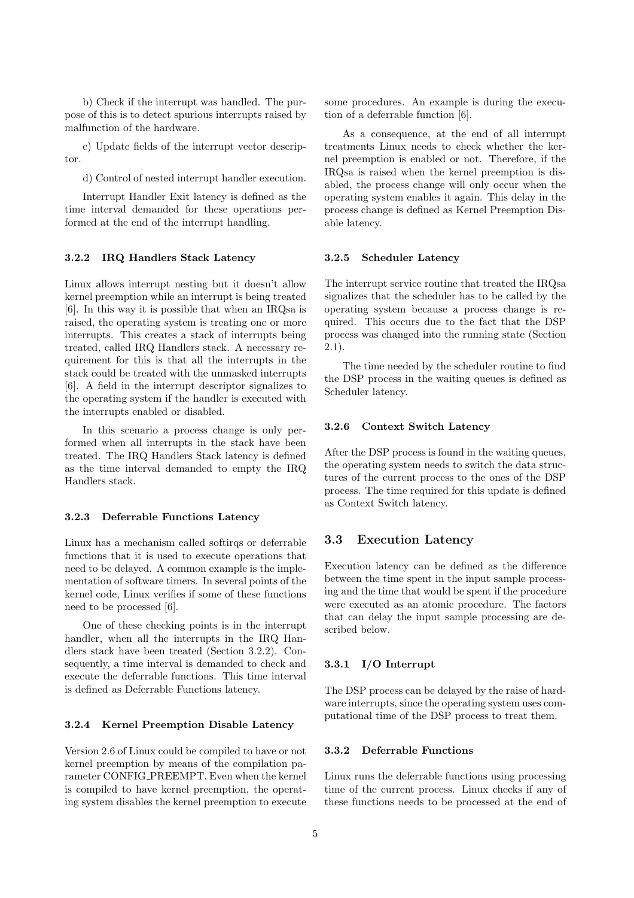b) Check if the interrupt was handled. The purpose of this is to detect spurious interrupts raised by malfunction of the hardware.

c) Update fields of the interrupt vector descriptor.

d) Control of nested interrupt handler execution.

Interrupt Handler Exit latency is defined as the time interval demanded for these operations performed at the end of the interrupt handling.

#### 3.2.2 IRQ Handlers Stack Latency

Linux allows interrupt nesting but it doesn't allow kernel preemption while an interrupt is being treated [6]. In this way it is possible that when an IRQsa is raised, the operating system is treating one or more interrupts. This creates a stack of interrupts being treated, called IRQ Handlers stack. A necessary requirement for this is that all the interrupts in the stack could be treated with the unmasked interrupts [6]. A field in the interrupt descriptor signalizes to the operating system if the handler is executed with the interrupts enabled or disabled.

In this scenario a process change is only performed when all interrupts in the stack have been treated. The IRQ Handlers Stack latency is defined as the time interval demanded to empty the IRQ Handlers stack.

#### 3.2.3 Deferrable Functions Latency

Linux has a mechanism called softirqs or deferrable functions that it is used to execute operations that need to be delayed. A common example is the implementation of software timers. In several points of the kernel code, Linux verifies if some of these functions need to be processed [6].

One of these checking points is in the interrupt handler, when all the interrupts in the IRQ Handlers stack have been treated (Section 3.2.2). Consequently, a time interval is demanded to check and execute the deferrable functions. This time interval is defined as Deferrable Functions latency.

#### 3.2.4 Kernel Preemption Disable Latency

Version 2.6 of Linux could be compiled to have or not kernel preemption by means of the compilation parameter CONFIG PREEMPT. Even when the kernel is compiled to have kernel preemption, the operating system disables the kernel preemption to execute

some procedures. An example is during the execution of a deferrable function [6].

As a consequence, at the end of all interrupt treatments Linux needs to check whether the kernel preemption is enabled or not. Therefore, if the IRQsa is raised when the kernel preemption is disabled, the process change will only occur when the operating system enables it again. This delay in the process change is defined as Kernel Preemption Disable latency.

#### 3.2.5 Scheduler Latency

The interrupt service routine that treated the IRQsa signalizes that the scheduler has to be called by the operating system because a process change is required. This occurs due to the fact that the DSP process was changed into the running state (Section 2.1).

The time needed by the scheduler routine to find the DSP process in the waiting queues is defined as Scheduler latency.

#### 3.2.6 Context Switch Latency

After the DSP process is found in the waiting queues, the operating system needs to switch the data structures of the current process to the ones of the DSP process. The time required for this update is defined as Context Switch latency.

## 3.3 Execution Latency

Execution latency can be defined as the difference between the time spent in the input sample processing and the time that would be spent if the procedure were executed as an atomic procedure. The factors that can delay the input sample processing are described below.

#### 3.3.1 I/O Interrupt

The DSP process can be delayed by the raise of hardware interrupts, since the operating system uses computational time of the DSP process to treat them.

#### 3.3.2 Deferrable Functions

Linux runs the deferrable functions using processing time of the current process. Linux checks if any of these functions needs to be processed at the end of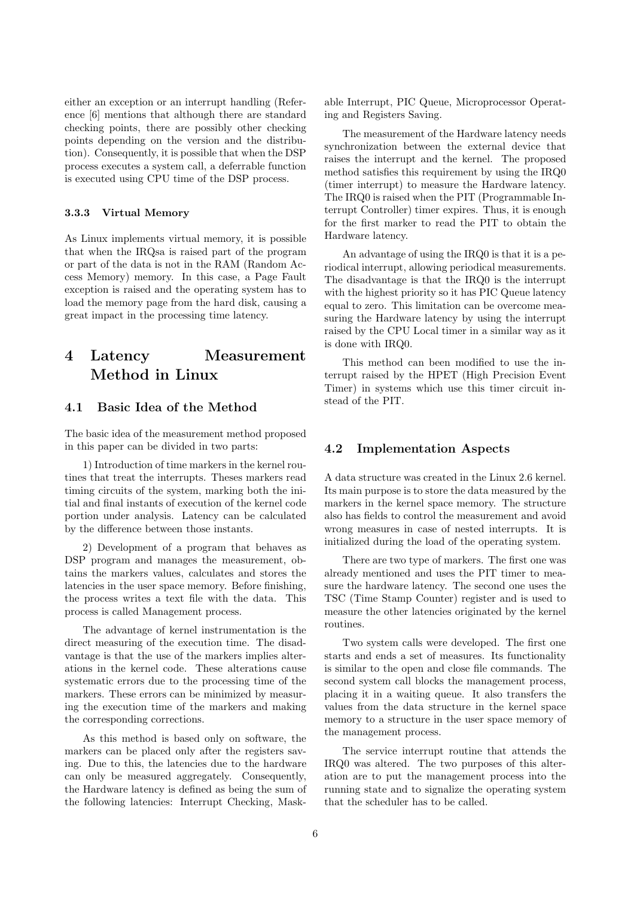either an exception or an interrupt handling (Reference [6] mentions that although there are standard checking points, there are possibly other checking points depending on the version and the distribution). Consequently, it is possible that when the DSP process executes a system call, a deferrable function is executed using CPU time of the DSP process.

### 3.3.3 Virtual Memory

As Linux implements virtual memory, it is possible that when the IRQsa is raised part of the program or part of the data is not in the RAM (Random Access Memory) memory. In this case, a Page Fault exception is raised and the operating system has to load the memory page from the hard disk, causing a great impact in the processing time latency.

# 4 Latency Measurement Method in Linux

### 4.1 Basic Idea of the Method

The basic idea of the measurement method proposed in this paper can be divided in two parts:

1) Introduction of time markers in the kernel routines that treat the interrupts. Theses markers read timing circuits of the system, marking both the initial and final instants of execution of the kernel code portion under analysis. Latency can be calculated by the difference between those instants.

2) Development of a program that behaves as DSP program and manages the measurement, obtains the markers values, calculates and stores the latencies in the user space memory. Before finishing, the process writes a text file with the data. This process is called Management process.

The advantage of kernel instrumentation is the direct measuring of the execution time. The disadvantage is that the use of the markers implies alterations in the kernel code. These alterations cause systematic errors due to the processing time of the markers. These errors can be minimized by measuring the execution time of the markers and making the corresponding corrections.

As this method is based only on software, the markers can be placed only after the registers saving. Due to this, the latencies due to the hardware can only be measured aggregately. Consequently, the Hardware latency is defined as being the sum of the following latencies: Interrupt Checking, Maskable Interrupt, PIC Queue, Microprocessor Operating and Registers Saving.

The measurement of the Hardware latency needs synchronization between the external device that raises the interrupt and the kernel. The proposed method satisfies this requirement by using the IRQ0 (timer interrupt) to measure the Hardware latency. The IRQ0 is raised when the PIT (Programmable Interrupt Controller) timer expires. Thus, it is enough for the first marker to read the PIT to obtain the Hardware latency.

An advantage of using the IRQ0 is that it is a periodical interrupt, allowing periodical measurements. The disadvantage is that the IRQ0 is the interrupt with the highest priority so it has PIC Queue latency equal to zero. This limitation can be overcome measuring the Hardware latency by using the interrupt raised by the CPU Local timer in a similar way as it is done with IRQ0.

This method can been modified to use the interrupt raised by the HPET (High Precision Event Timer) in systems which use this timer circuit instead of the PIT.

## 4.2 Implementation Aspects

A data structure was created in the Linux 2.6 kernel. Its main purpose is to store the data measured by the markers in the kernel space memory. The structure also has fields to control the measurement and avoid wrong measures in case of nested interrupts. It is initialized during the load of the operating system.

There are two type of markers. The first one was already mentioned and uses the PIT timer to measure the hardware latency. The second one uses the TSC (Time Stamp Counter) register and is used to measure the other latencies originated by the kernel routines.

Two system calls were developed. The first one starts and ends a set of measures. Its functionality is similar to the open and close file commands. The second system call blocks the management process, placing it in a waiting queue. It also transfers the values from the data structure in the kernel space memory to a structure in the user space memory of the management process.

The service interrupt routine that attends the IRQ0 was altered. The two purposes of this alteration are to put the management process into the running state and to signalize the operating system that the scheduler has to be called.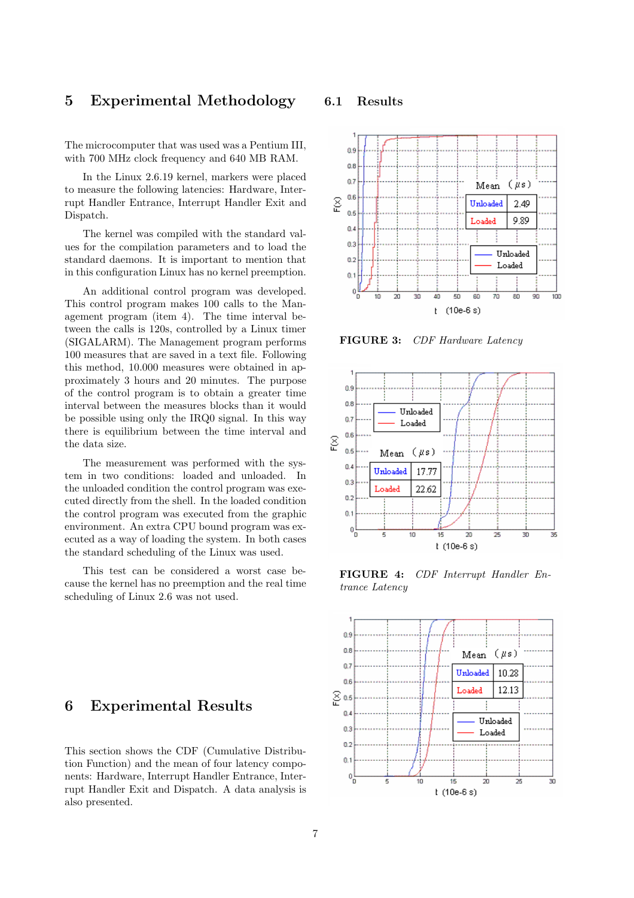# 5 Experimental Methodology

The microcomputer that was used was a Pentium III, with 700 MHz clock frequency and 640 MB RAM.

In the Linux 2.6.19 kernel, markers were placed to measure the following latencies: Hardware, Interrupt Handler Entrance, Interrupt Handler Exit and Dispatch.

The kernel was compiled with the standard values for the compilation parameters and to load the standard daemons. It is important to mention that in this configuration Linux has no kernel preemption.

An additional control program was developed. This control program makes 100 calls to the Management program (item 4). The time interval between the calls is 120s, controlled by a Linux timer (SIGALARM). The Management program performs 100 measures that are saved in a text file. Following this method, 10.000 measures were obtained in approximately 3 hours and 20 minutes. The purpose of the control program is to obtain a greater time interval between the measures blocks than it would be possible using only the IRQ0 signal. In this way there is equilibrium between the time interval and the data size.

The measurement was performed with the system in two conditions: loaded and unloaded. In the unloaded condition the control program was executed directly from the shell. In the loaded condition the control program was executed from the graphic environment. An extra CPU bound program was executed as a way of loading the system. In both cases the standard scheduling of the Linux was used.

This test can be considered a worst case because the kernel has no preemption and the real time scheduling of Linux 2.6 was not used.

# 6 Experimental Results

This section shows the CDF (Cumulative Distribution Function) and the mean of four latency components: Hardware, Interrupt Handler Entrance, Interrupt Handler Exit and Dispatch. A data analysis is also presented.

### 6.1 Results



FIGURE 3: CDF Hardware Latency



FIGURE 4: CDF Interrupt Handler Entrance Latency